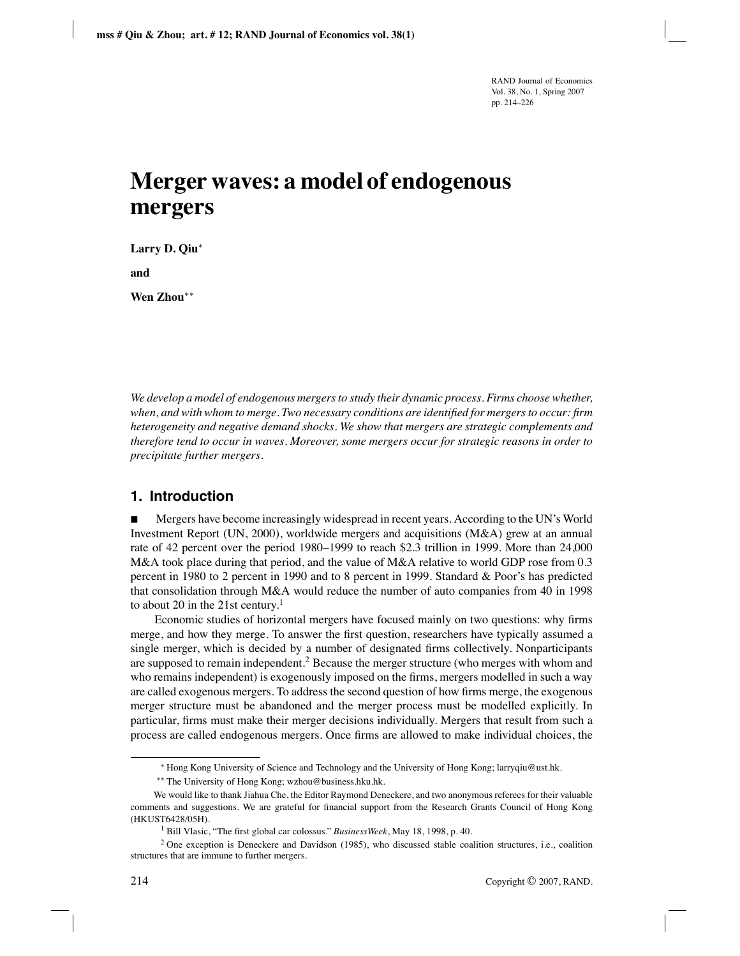# **Merger waves: a model of endogenous mergers**

**Larry D. Qiu**∗

**and**

**Wen Zhou**∗∗

*We develop a model of endogenous mergers to study their dynamic process. Firms choose whether, when, and with whom to merge. Two necessary conditions are identified for mergers to occur: firm heterogeneity and negative demand shocks. We show that mergers are strategic complements and therefore tend to occur in waves. Moreover, some mergers occur for strategic reasons in order to precipitate further mergers.*

# **1. Introduction**

 Mergers have become increasingly widespread in recent years. According to the UN's World Investment Report (UN, 2000), worldwide mergers and acquisitions (M&A) grew at an annual rate of 42 percent over the period 1980–1999 to reach \$2.3 trillion in 1999. More than 24,000 M&A took place during that period, and the value of M&A relative to world GDP rose from 0.3 percent in 1980 to 2 percent in 1990 and to 8 percent in 1999. Standard & Poor's has predicted that consolidation through M&A would reduce the number of auto companies from 40 in 1998 to about 20 in the 21st century.<sup>1</sup>

Economic studies of horizontal mergers have focused mainly on two questions: why firms merge, and how they merge. To answer the first question, researchers have typically assumed a single merger, which is decided by a number of designated firms collectively. Nonparticipants are supposed to remain independent.<sup>2</sup> Because the merger structure (who merges with whom and who remains independent) is exogenously imposed on the firms, mergers modelled in such a way are called exogenous mergers. To address the second question of how firms merge, the exogenous merger structure must be abandoned and the merger process must be modelled explicitly. In particular, firms must make their merger decisions individually. Mergers that result from such a process are called endogenous mergers. Once firms are allowed to make individual choices, the

<sup>∗</sup> Hong Kong University of Science and Technology and the University of Hong Kong; larryqiu@ust.hk.

<sup>∗∗</sup> The University of Hong Kong; wzhou@business.hku.hk.

We would like to thank Jiahua Che, the Editor Raymond Deneckere, and two anonymous referees for their valuable comments and suggestions. We are grateful for financial support from the Research Grants Council of Hong Kong (HKUST6428/05H).

<sup>1</sup> Bill Vlasic, "The first global car colossus." *BusinessWeek*, May 18, 1998, p. 40.

<sup>2</sup> One exception is Deneckere and Davidson (1985), who discussed stable coalition structures, i.e., coalition structures that are immune to further mergers.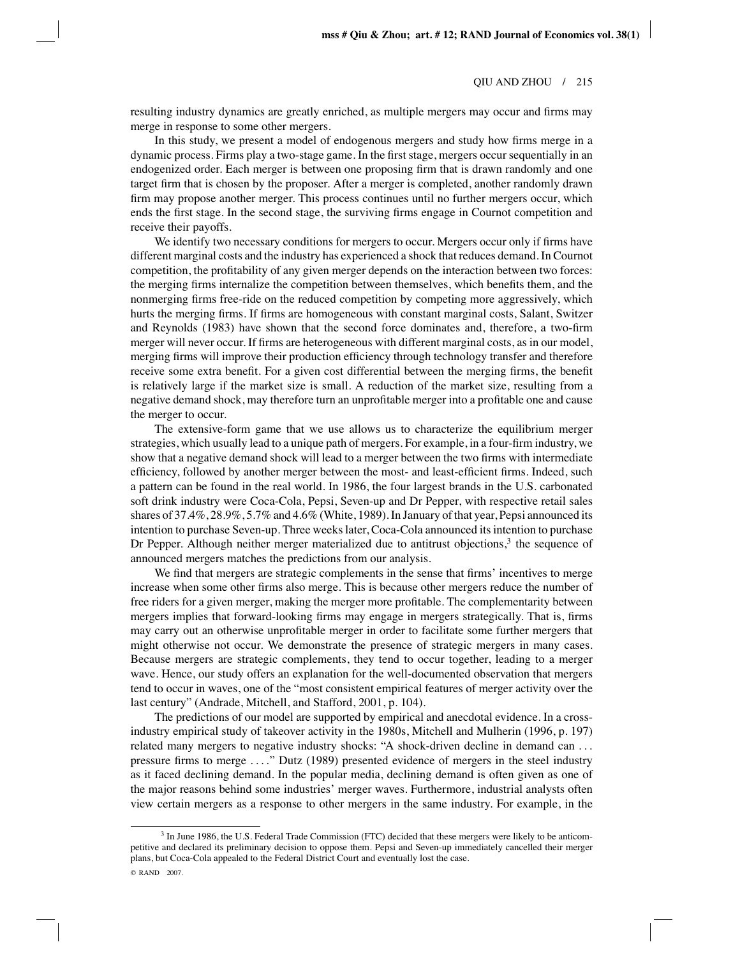resulting industry dynamics are greatly enriched, as multiple mergers may occur and firms may merge in response to some other mergers.

In this study, we present a model of endogenous mergers and study how firms merge in a dynamic process. Firms play a two-stage game. In the first stage, mergers occur sequentially in an endogenized order. Each merger is between one proposing firm that is drawn randomly and one target firm that is chosen by the proposer. After a merger is completed, another randomly drawn firm may propose another merger. This process continues until no further mergers occur, which ends the first stage. In the second stage, the surviving firms engage in Cournot competition and receive their payoffs.

We identify two necessary conditions for mergers to occur. Mergers occur only if firms have different marginal costs and the industry has experienced a shock that reduces demand. In Cournot competition, the profitability of any given merger depends on the interaction between two forces: the merging firms internalize the competition between themselves, which benefits them, and the nonmerging firms free-ride on the reduced competition by competing more aggressively, which hurts the merging firms. If firms are homogeneous with constant marginal costs, Salant, Switzer and Reynolds (1983) have shown that the second force dominates and, therefore, a two-firm merger will never occur. If firms are heterogeneous with different marginal costs, as in our model, merging firms will improve their production efficiency through technology transfer and therefore receive some extra benefit. For a given cost differential between the merging firms, the benefit is relatively large if the market size is small. A reduction of the market size, resulting from a negative demand shock, may therefore turn an unprofitable merger into a profitable one and cause the merger to occur.

The extensive-form game that we use allows us to characterize the equilibrium merger strategies, which usually lead to a unique path of mergers. For example, in a four-firm industry, we show that a negative demand shock will lead to a merger between the two firms with intermediate efficiency, followed by another merger between the most- and least-efficient firms. Indeed, such a pattern can be found in the real world. In 1986, the four largest brands in the U.S. carbonated soft drink industry were Coca-Cola, Pepsi, Seven-up and Dr Pepper, with respective retail sales shares of 37.4%, 28.9%, 5.7% and 4.6% (White, 1989). In January of that year, Pepsi announced its intention to purchase Seven-up. Three weeks later, Coca-Cola announced its intention to purchase Dr Pepper. Although neither merger materialized due to antitrust objections, $3$  the sequence of announced mergers matches the predictions from our analysis.

We find that mergers are strategic complements in the sense that firms' incentives to merge increase when some other firms also merge. This is because other mergers reduce the number of free riders for a given merger, making the merger more profitable. The complementarity between mergers implies that forward-looking firms may engage in mergers strategically. That is, firms may carry out an otherwise unprofitable merger in order to facilitate some further mergers that might otherwise not occur. We demonstrate the presence of strategic mergers in many cases. Because mergers are strategic complements, they tend to occur together, leading to a merger wave. Hence, our study offers an explanation for the well-documented observation that mergers tend to occur in waves, one of the "most consistent empirical features of merger activity over the last century" (Andrade, Mitchell, and Stafford, 2001, p. 104).

The predictions of our model are supported by empirical and anecdotal evidence. In a crossindustry empirical study of takeover activity in the 1980s, Mitchell and Mulherin (1996, p. 197) related many mergers to negative industry shocks: "A shock-driven decline in demand can ... pressure firms to merge ...." Dutz (1989) presented evidence of mergers in the steel industry as it faced declining demand. In the popular media, declining demand is often given as one of the major reasons behind some industries' merger waves. Furthermore, industrial analysts often view certain mergers as a response to other mergers in the same industry. For example, in the

<sup>3</sup> In June 1986, the U.S. Federal Trade Commission (FTC) decided that these mergers were likely to be anticompetitive and declared its preliminary decision to oppose them. Pepsi and Seven-up immediately cancelled their merger plans, but Coca-Cola appealed to the Federal District Court and eventually lost the case.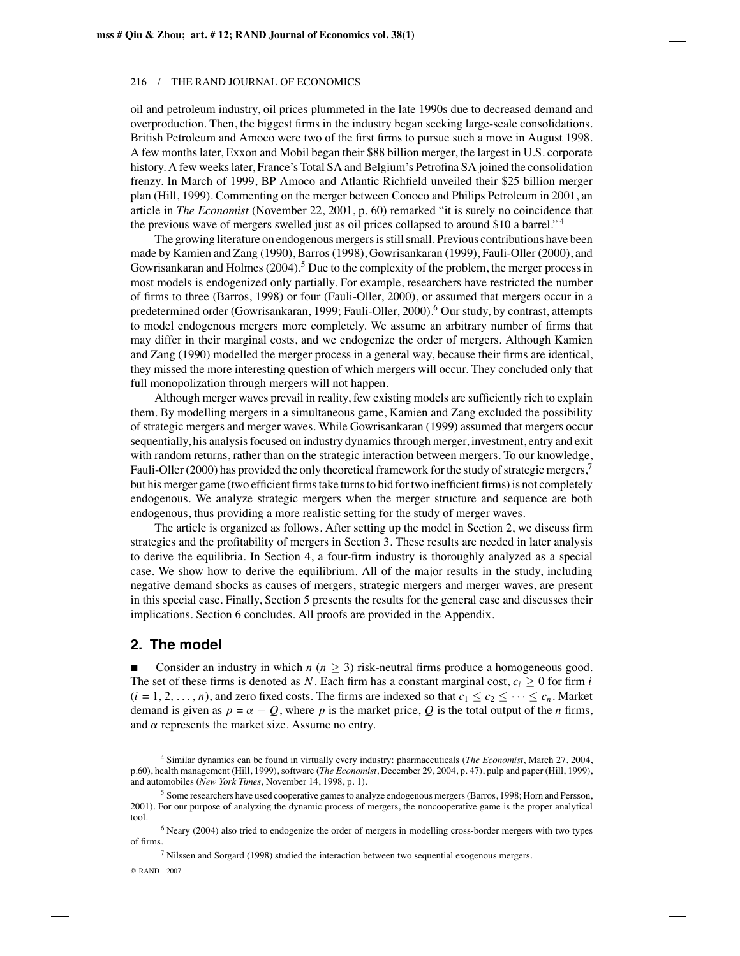oil and petroleum industry, oil prices plummeted in the late 1990s due to decreased demand and overproduction. Then, the biggest firms in the industry began seeking large-scale consolidations. British Petroleum and Amoco were two of the first firms to pursue such a move in August 1998. A few months later, Exxon and Mobil began their \$88 billion merger, the largest in U.S. corporate history. A few weeks later, France's Total SA and Belgium's Petrofina SA joined the consolidation frenzy. In March of 1999, BP Amoco and Atlantic Richfield unveiled their \$25 billion merger plan (Hill, 1999). Commenting on the merger between Conoco and Philips Petroleum in 2001, an article in *The Economist* (November 22, 2001, p. 60) remarked "it is surely no coincidence that the previous wave of mergers swelled just as oil prices collapsed to around \$10 a barrel." <sup>4</sup>

The growing literature on endogenous mergers is still small. Previous contributions have been made by Kamien and Zang (1990), Barros (1998), Gowrisankaran (1999), Fauli-Oller (2000), and Gowrisankaran and Holmes  $(2004)$ .<sup>5</sup> Due to the complexity of the problem, the merger process in most models is endogenized only partially. For example, researchers have restricted the number of firms to three (Barros, 1998) or four (Fauli-Oller, 2000), or assumed that mergers occur in a predetermined order (Gowrisankaran, 1999; Fauli-Oller, 2000).<sup>6</sup> Our study, by contrast, attempts to model endogenous mergers more completely. We assume an arbitrary number of firms that may differ in their marginal costs, and we endogenize the order of mergers. Although Kamien and Zang (1990) modelled the merger process in a general way, because their firms are identical, they missed the more interesting question of which mergers will occur. They concluded only that full monopolization through mergers will not happen.

Although merger waves prevail in reality, few existing models are sufficiently rich to explain them. By modelling mergers in a simultaneous game, Kamien and Zang excluded the possibility of strategic mergers and merger waves. While Gowrisankaran (1999) assumed that mergers occur sequentially, his analysis focused on industry dynamics through merger, investment, entry and exit with random returns, rather than on the strategic interaction between mergers. To our knowledge, Fauli-Oller (2000) has provided the only theoretical framework for the study of strategic mergers, $\frac{7}{1}$ but his merger game (two efficient firms take turns to bid for two inefficient firms) is not completely endogenous. We analyze strategic mergers when the merger structure and sequence are both endogenous, thus providing a more realistic setting for the study of merger waves.

The article is organized as follows. After setting up the model in Section 2, we discuss firm strategies and the profitability of mergers in Section 3. These results are needed in later analysis to derive the equilibria. In Section 4, a four-firm industry is thoroughly analyzed as a special case. We show how to derive the equilibrium. All of the major results in the study, including negative demand shocks as causes of mergers, strategic mergers and merger waves, are present in this special case. Finally, Section 5 presents the results for the general case and discusses their implications. Section 6 concludes. All proofs are provided in the Appendix.

### **2. The model**

Consider an industry in which  $n (n \geq 3)$  risk-neutral firms produce a homogeneous good. The set of these firms is denoted as *N*. Each firm has a constant marginal cost,  $c_i \geq 0$  for firm *i*  $(i = 1, 2, \ldots, n)$ , and zero fixed costs. The firms are indexed so that  $c_1 \leq c_2 \leq \cdots \leq c_n$ . Market demand is given as  $p = \alpha - Q$ , where p is the market price, Q is the total output of the *n* firms, and  $\alpha$  represents the market size. Assume no entry.

<sup>4</sup> Similar dynamics can be found in virtually every industry: pharmaceuticals (*The Economist*, March 27, 2004, p.60), health management (Hill, 1999), software (*The Economist*, December 29, 2004, p. 47), pulp and paper (Hill, 1999), and automobiles (*New York Times*, November 14, 1998, p. 1).

<sup>5</sup> Some researchers have used cooperative games to analyze endogenous mergers (Barros, 1998; Horn and Persson, 2001). For our purpose of analyzing the dynamic process of mergers, the noncooperative game is the proper analytical tool.

<sup>6</sup> Neary (2004) also tried to endogenize the order of mergers in modelling cross-border mergers with two types of firms.

 $<sup>7</sup>$  Nilssen and Sorgard (1998) studied the interaction between two sequential exogenous mergers.</sup>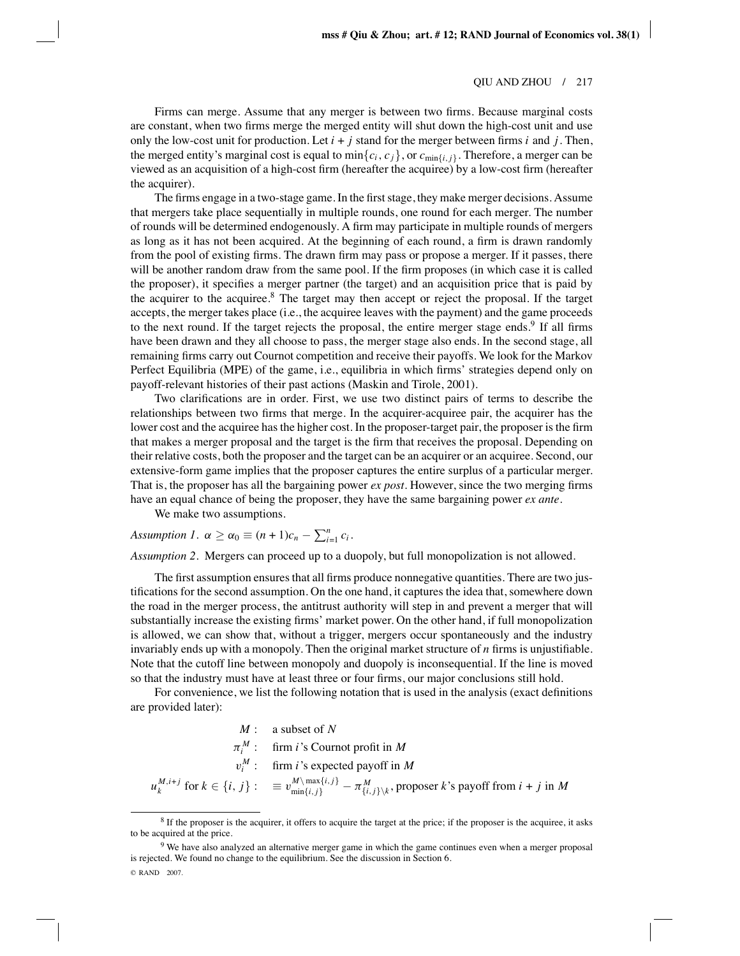Firms can merge. Assume that any merger is between two firms. Because marginal costs are constant, when two firms merge the merged entity will shut down the high-cost unit and use only the low-cost unit for production. Let  $i + j$  stand for the merger between firms  $i$  and  $j$ . Then, the merged entity's marginal cost is equal to  $\min\{c_i, c_j\}$ , or  $c_{\min\{i,j\}}$ . Therefore, a merger can be viewed as an acquisition of a high-cost firm (hereafter the acquiree) by a low-cost firm (hereafter the acquirer).

The firms engage in a two-stage game. In the first stage, they make merger decisions. Assume that mergers take place sequentially in multiple rounds, one round for each merger. The number of rounds will be determined endogenously. A firm may participate in multiple rounds of mergers as long as it has not been acquired. At the beginning of each round, a firm is drawn randomly from the pool of existing firms. The drawn firm may pass or propose a merger. If it passes, there will be another random draw from the same pool. If the firm proposes (in which case it is called the proposer), it specifies a merger partner (the target) and an acquisition price that is paid by the acquirer to the acquiree.<sup>8</sup> The target may then accept or reject the proposal. If the target accepts, the merger takes place (i.e., the acquiree leaves with the payment) and the game proceeds to the next round. If the target rejects the proposal, the entire merger stage ends.<sup>9</sup> If all firms have been drawn and they all choose to pass, the merger stage also ends. In the second stage, all remaining firms carry out Cournot competition and receive their payoffs. We look for the Markov Perfect Equilibria (MPE) of the game, i.e., equilibria in which firms' strategies depend only on payoff-relevant histories of their past actions (Maskin and Tirole, 2001).

Two clarifications are in order. First, we use two distinct pairs of terms to describe the relationships between two firms that merge. In the acquirer-acquiree pair, the acquirer has the lower cost and the acquiree has the higher cost. In the proposer-target pair, the proposer is the firm that makes a merger proposal and the target is the firm that receives the proposal. Depending on their relative costs, both the proposer and the target can be an acquirer or an acquiree. Second, our extensive-form game implies that the proposer captures the entire surplus of a particular merger. That is, the proposer has all the bargaining power *ex post*. However, since the two merging firms have an equal chance of being the proposer, they have the same bargaining power *ex ante*.

We make two assumptions.

*Assumption 1.*  $\alpha \geq \alpha_0 \equiv (n+1)c_n - \sum_{i=1}^n c_i$ .

*Assumption 2*. Mergers can proceed up to a duopoly, but full monopolization is not allowed.

The first assumption ensures that all firms produce nonnegative quantities. There are two justifications for the second assumption. On the one hand, it captures the idea that, somewhere down the road in the merger process, the antitrust authority will step in and prevent a merger that will substantially increase the existing firms' market power. On the other hand, if full monopolization is allowed, we can show that, without a trigger, mergers occur spontaneously and the industry invariably ends up with a monopoly. Then the original market structure of *n* firms is unjustifiable. Note that the cutoff line between monopoly and duopoly is inconsequential. If the line is moved so that the industry must have at least three or four firms, our major conclusions still hold.

For convenience, we list the following notation that is used in the analysis (exact definitions are provided later):

$$
M: \text{ a subset of } N
$$
  
\n
$$
\pi_i^M: \text{ firm } i \text{'s Cournot profit in } M
$$
  
\n
$$
v_i^M: \text{ firm } i \text{'s expected payoff in } M
$$
  
\n
$$
u_k^{M,i+j} \text{ for } k \in \{i, j\}: \equiv v_{\text{min}\{i, j\}}^{M \setminus \text{max}\{i, j\}} - \pi_{\{i, j\}\setminus k}^M, \text{ proposer } k \text{'s payoff from } i + j \text{ in } M
$$

<sup>&</sup>lt;sup>8</sup> If the proposer is the acquirer, it offers to acquire the target at the price; if the proposer is the acquiree, it asks to be acquired at the price.

<sup>&</sup>lt;sup>9</sup> We have also analyzed an alternative merger game in which the game continues even when a merger proposal is rejected. We found no change to the equilibrium. See the discussion in Section 6.

<sup>©</sup> RAND 2007.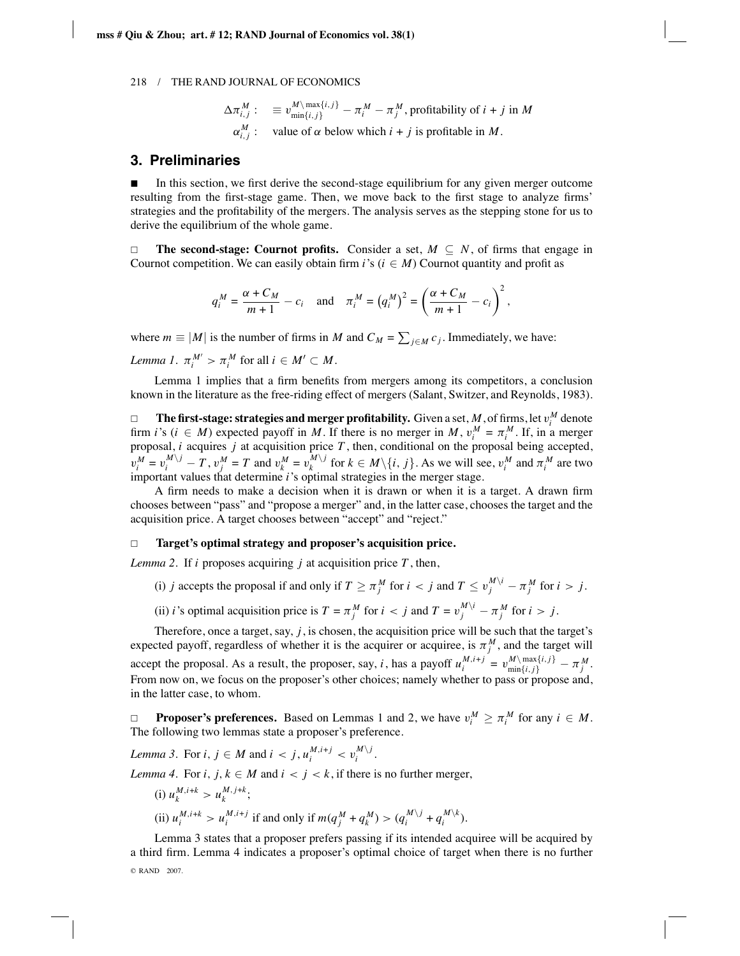$$
\Delta \pi_{i,j}^M := v_{\min\{i,j\}}^M - \pi_i^M - \pi_j^M
$$
, profitability of  $i + j$  in  $M$   

$$
\alpha_{i,j}^M := \text{value of } \alpha \text{ below which } i + j \text{ is profitable in } M.
$$

#### **3. Preliminaries**

 In this section, we first derive the second-stage equilibrium for any given merger outcome resulting from the first-stage game. Then, we move back to the first stage to analyze firms' strategies and the profitability of the mergers. The analysis serves as the stepping stone for us to derive the equilibrium of the whole game.

 $\Box$ **The second-stage: Cournot profits.** Consider a set,  $M \subseteq N$ , of firms that engage in Cournot competition. We can easily obtain firm  $i$ 's ( $i \in M$ ) Cournot quantity and profit as

$$
q_i^M = \frac{\alpha + C_M}{m+1} - c_i \quad \text{and} \quad \pi_i^M = (q_i^M)^2 = \left(\frac{\alpha + C_M}{m+1} - c_i\right)^2,
$$

where  $m \equiv |M|$  is the number of firms in *M* and  $C_M = \sum_{j \in M} c_j$ . Immediately, we have:

*Lemma 1*.  $\pi_i^{M'} > \pi_i^{M}$  for all  $i \in M' \subset M$ .

Lemma 1 implies that a firm benefits from mergers among its competitors, a conclusion known in the literature as the free-riding effect of mergers (Salant, Switzer, and Reynolds, 1983).

 $\Box$  **The first-stage: strategies and merger profitability.** Given a set, *M*, of firms, let  $v_i^M$  denote firm *i*'s ( $i \in M$ ) expected payoff in *M*. If there is no merger in *M*,  $v_i^M = \pi_i^M$ . If, in a merger proposal, *i* acquires *j* at acquisition price *T* , then, conditional on the proposal being accepted,  $v_i^M = v_i^{M \setminus j} - T$ ,  $v_j^M = T$  and  $v_k^M = v_k^{M \setminus j}$  for  $k \in M \setminus \{i, j\}$ . As we will see,  $v_i^M$  and  $\pi_i^M$  are two important values that determine *i*'s optimal strategies in the merger stage.

A firm needs to make a decision when it is drawn or when it is a target. A drawn firm chooses between "pass" and "propose a merger" and, in the latter case, chooses the target and the acquisition price. A target chooses between "accept" and "reject."

#### $\Box$ **Target's optimal strategy and proposer's acquisition price.**

*Lemma 2.* If *i* proposes acquiring *j* at acquisition price  $T$ , then,

- (i) *j* accepts the proposal if and only if  $T \ge \pi_j^M$  for  $i < j$  and  $T \le v_j^{M \setminus i} \pi_j^M$  for  $i > j$ .
- (ii) *i*'s optimal acquisition price is  $T = \pi_j^M$  for  $i < j$  and  $T = v_j^{M \setminus i} \pi_j^M$  for  $i > j$ .

Therefore, once a target, say,  $j$ , is chosen, the acquisition price will be such that the target's expected payoff, regardless of whether it is the acquirer or acquiree, is  $\pi_j^M$ , and the target will accept the proposal. As a result, the proposer, say, *i*, has a payoff  $u_i^{M,i+j} = v_{\min\{i,j\}}^{M \setminus \max\{i,j\}} - \pi_j^M$ . From now on, we focus on the proposer's other choices; namely whether to pass or propose and, in the latter case, to whom.

 $\Box$ **Proposer's preferences.** Based on Lemmas 1 and 2, we have  $v_i^M \ge \pi_i^M$  for any  $i \in M$ . The following two lemmas state a proposer's preference.

*Lemma 3.* For  $i, j \in M$  and  $i < j, u_i^{M,i+j} < v_i^{M \setminus j}$ .

*Lemma 4.* For *i*,  $j, k \in M$  and  $i < j < k$ , if there is no further merger,

(i) 
$$
u_k^{M,i+k} > u_k^{M,j+k}
$$
;  
\n(ii)  $u_i^{M,i+k} > u_i^{M,i+j}$  if and only if  $m(q_j^M + q_k^M) > (q_i^{M \setminus j} + q_i^{M \setminus k})$ .

Lemma 3 states that a proposer prefers passing if its intended acquiree will be acquired by a third firm. Lemma 4 indicates a proposer's optimal choice of target when there is no further © RAND 2007.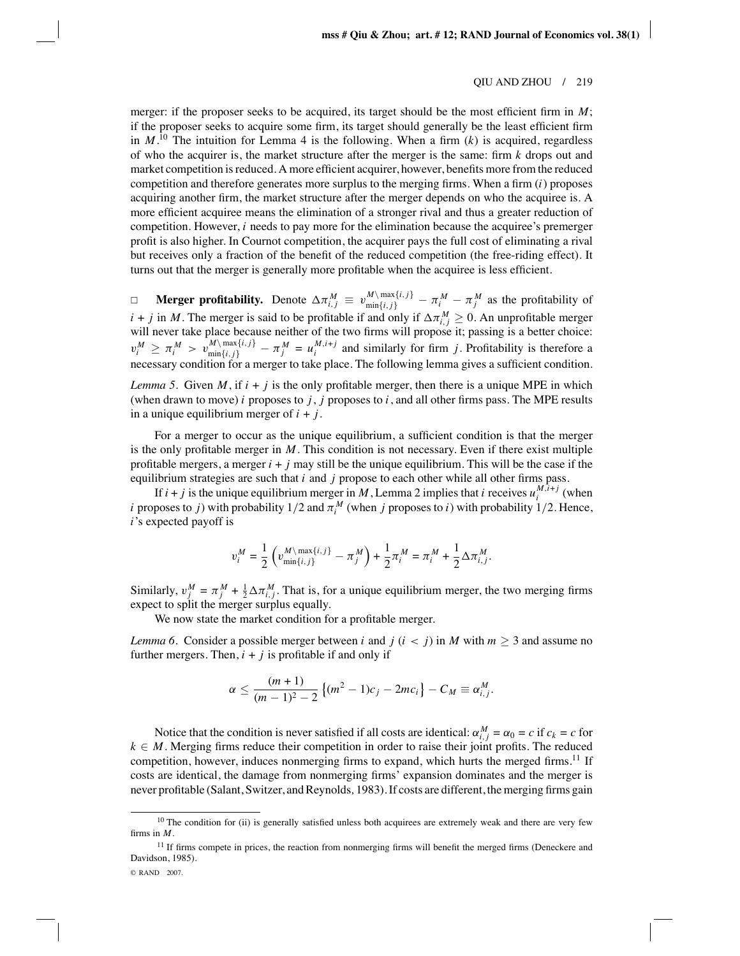merger: if the proposer seeks to be acquired, its target should be the most efficient firm in *M*; if the proposer seeks to acquire some firm, its target should generally be the least efficient firm in  $M$ .<sup>10</sup> The intuition for Lemma 4 is the following. When a firm  $(k)$  is acquired, regardless of who the acquirer is, the market structure after the merger is the same: firm *k* drops out and market competition is reduced. A more efficient acquirer, however, benefits more from the reduced competition and therefore generates more surplus to the merging firms. When a firm (*i*) proposes acquiring another firm, the market structure after the merger depends on who the acquiree is. A more efficient acquiree means the elimination of a stronger rival and thus a greater reduction of competition. However, *i* needs to pay more for the elimination because the acquiree's premerger profit is also higher. In Cournot competition, the acquirer pays the full cost of eliminating a rival but receives only a fraction of the benefit of the reduced competition (the free-riding effect). It turns out that the merger is generally more profitable when the acquiree is less efficient.

**Merger profitability.** Denote  $\Delta \pi_{i,j}^M \equiv v_{\text{min}\{i,j\}}^{M \setminus \text{max}\{i,j\}} - \pi_i^M - \pi_j^M$  as the profitability of *i* + *j* in *M*. The merger is said to be profitable if and only if  $\Delta \pi_{i,j}^M \geq 0$ . An unprofitable merger will never take place because neither of the two firms will propose it; passing is a better choice:  $v_i^M \ge \pi_i^M > v_{\min\{i,j\}}^{M \setminus \max\{i,j\}} - \pi_j^M = u_i^{M,i+j}$  and similarly for firm j. Profitability is therefore a  $\sum_{i=1}^{n}$  condition for a merger to take place. The following lemma gives a sufficient condition.

*Lemma 5*. Given *M*, if  $i + j$  is the only profitable merger, then there is a unique MPE in which (when drawn to move) *i* proposes to *j*, *j* proposes to *i*, and all other firms pass. The MPE results in a unique equilibrium merger of *i* + *j*.

For a merger to occur as the unique equilibrium, a sufficient condition is that the merger is the only profitable merger in *M*. This condition is not necessary. Even if there exist multiple profitable mergers, a merger  $i + j$  may still be the unique equilibrium. This will be the case if the equilibrium strategies are such that *i* and *j* propose to each other while all other firms pass.

If  $i + j$  is the unique equilibrium merger in M, Lemma 2 implies that *i* receives  $u_i^{M, \hat{i}+j}$  (when *i* proposes to *j*) with probability 1/2 and  $\pi_i^M$  (when *j* proposes to *i*) with probability 1/2. Hence, *i*'s expected payoff is

$$
v_i^M = \frac{1}{2}\left(v^{M\backslash \max\{i,j\}}_{\min\{i,j\}} - \pi^M_j\right) + \frac{1}{2}\pi^M_i = \pi^M_i + \frac{1}{2}\Delta\pi^M_{i,j}.
$$

Similarly,  $v_j^M = \pi_j^M + \frac{1}{2} \Delta \pi_{i,j}^M$ . That is, for a unique equilibrium merger, the two merging firms expect to split the merger surplus equally.

We now state the market condition for a profitable merger.

*Lemma 6*. Consider a possible merger between *i* and *j* ( $i < j$ ) in *M* with  $m \geq 3$  and assume no further mergers. Then,  $i + j$  is profitable if and only if

$$
\alpha \leq \frac{(m+1)}{(m-1)^2-2} \left\{ (m^2-1)c_j - 2mc_i \right\} - C_M \equiv \alpha_{i,j}^M.
$$

Notice that the condition is never satisfied if all costs are identical:  $\alpha_{i,j}^M = \alpha_0 = c$  if  $c_k = c$  for  $k \in M$ . Merging firms reduce their competition in order to raise their joint profits. The reduced competition, however, induces nonmerging firms to expand, which hurts the merged firms.<sup>11</sup> If costs are identical, the damage from nonmerging firms' expansion dominates and the merger is never profitable (Salant, Switzer, and Reynolds*,* 1983). If costs are different, the merging firms gain

 $10$  The condition for (ii) is generally satisfied unless both acquirees are extremely weak and there are very few firms in *M*.

 $11$  If firms compete in prices, the reaction from nonmerging firms will benefit the merged firms (Deneckere and Davidson, 1985).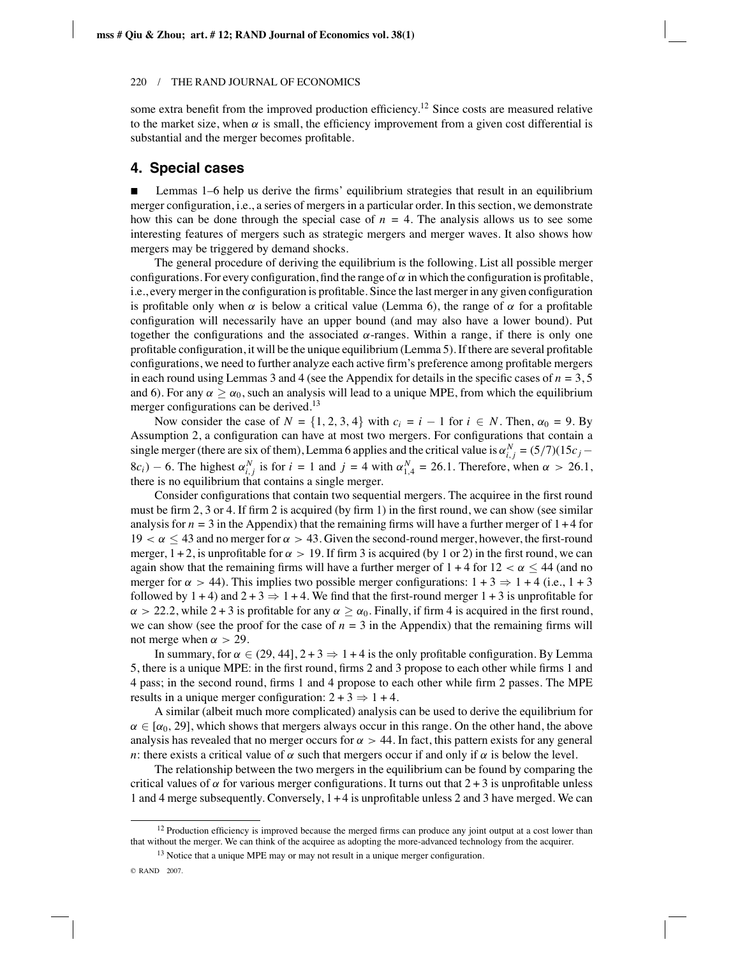some extra benefit from the improved production efficiency.<sup>12</sup> Since costs are measured relative to the market size, when  $\alpha$  is small, the efficiency improvement from a given cost differential is substantial and the merger becomes profitable.

# **4. Special cases**

 Lemmas 1–6 help us derive the firms' equilibrium strategies that result in an equilibrium merger configuration, i.e., a series of mergers in a particular order. In this section, we demonstrate how this can be done through the special case of  $n = 4$ . The analysis allows us to see some interesting features of mergers such as strategic mergers and merger waves. It also shows how mergers may be triggered by demand shocks.

The general procedure of deriving the equilibrium is the following. List all possible merger configurations. For every configuration, find the range of  $\alpha$  in which the configuration is profitable, i.e., every merger in the configuration is profitable. Since the last merger in any given configuration is profitable only when  $\alpha$  is below a critical value (Lemma 6), the range of  $\alpha$  for a profitable configuration will necessarily have an upper bound (and may also have a lower bound). Put together the configurations and the associated  $\alpha$ -ranges. Within a range, if there is only one profitable configuration, it will be the unique equilibrium (Lemma 5). If there are several profitable configurations, we need to further analyze each active firm's preference among profitable mergers in each round using Lemmas 3 and 4 (see the Appendix for details in the specific cases of *n* = 3, 5 and 6). For any  $\alpha \ge \alpha_0$ , such an analysis will lead to a unique MPE, from which the equilibrium merger configurations can be derived.<sup>13</sup>

Now consider the case of  $N = \{1, 2, 3, 4\}$  with  $c_i = i - 1$  for  $i \in N$ . Then,  $\alpha_0 = 9$ . By Assumption 2, a configuration can have at most two mergers. For configurations that contain a single merger (there are six of them), Lemma 6 applies and the critical value is  $\alpha_{i,j}^N = (5/7)(15c_j 8c_i$ ) − 6. The highest  $\alpha_{i,j}^N$  is for  $i = 1$  and  $j = 4$  with  $\alpha_{1,4}^N = 26.1$ . Therefore, when  $\alpha > 26.1$ , there is no equilibrium that contains a single merger.

Consider configurations that contain two sequential mergers. The acquiree in the first round must be firm 2, 3 or 4. If firm 2 is acquired (by firm 1) in the first round, we can show (see similar analysis for  $n = 3$  in the Appendix) that the remaining firms will have a further merger of  $1 + 4$  for  $19 < \alpha \leq 43$  and no merger for  $\alpha > 43$ . Given the second-round merger, however, the first-round merger,  $1 + 2$ , is unprofitable for  $\alpha > 19$ . If firm 3 is acquired (by 1 or 2) in the first round, we can again show that the remaining firms will have a further merger of  $1 + 4$  for  $12 < \alpha \leq 44$  (and no merger for  $\alpha > 44$ ). This implies two possible merger configurations:  $1 + 3 \Rightarrow 1 + 4$  (i.e.,  $1 + 3$ ) followed by  $1 + 4$ ) and  $2 + 3 \Rightarrow 1 + 4$ . We find that the first-round merger  $1 + 3$  is unprofitable for  $\alpha > 22.2$ , while 2 + 3 is profitable for any  $\alpha \ge \alpha_0$ . Finally, if firm 4 is acquired in the first round, we can show (see the proof for the case of  $n = 3$  in the Appendix) that the remaining firms will not merge when  $\alpha > 29$ .

In summary, for  $\alpha \in (29, 44]$ ,  $2 + 3 \Rightarrow 1 + 4$  is the only profitable configuration. By Lemma 5, there is a unique MPE: in the first round, firms 2 and 3 propose to each other while firms 1 and 4 pass; in the second round, firms 1 and 4 propose to each other while firm 2 passes. The MPE results in a unique merger configuration:  $2 + 3 \Rightarrow 1 + 4$ .

A similar (albeit much more complicated) analysis can be used to derive the equilibrium for  $\alpha \in [\alpha_0, 29]$ , which shows that mergers always occur in this range. On the other hand, the above analysis has revealed that no merger occurs for  $\alpha > 44$ . In fact, this pattern exists for any general *n*: there exists a critical value of  $\alpha$  such that mergers occur if and only if  $\alpha$  is below the level.

The relationship between the two mergers in the equilibrium can be found by comparing the critical values of  $\alpha$  for various merger configurations. It turns out that  $2 + 3$  is unprofitable unless 1 and 4 merge subsequently. Conversely, 1 + 4 is unprofitable unless 2 and 3 have merged. We can

 $12$  Production efficiency is improved because the merged firms can produce any joint output at a cost lower than that without the merger. We can think of the acquiree as adopting the more-advanced technology from the acquirer.

 $13$  Notice that a unique MPE may or may not result in a unique merger configuration.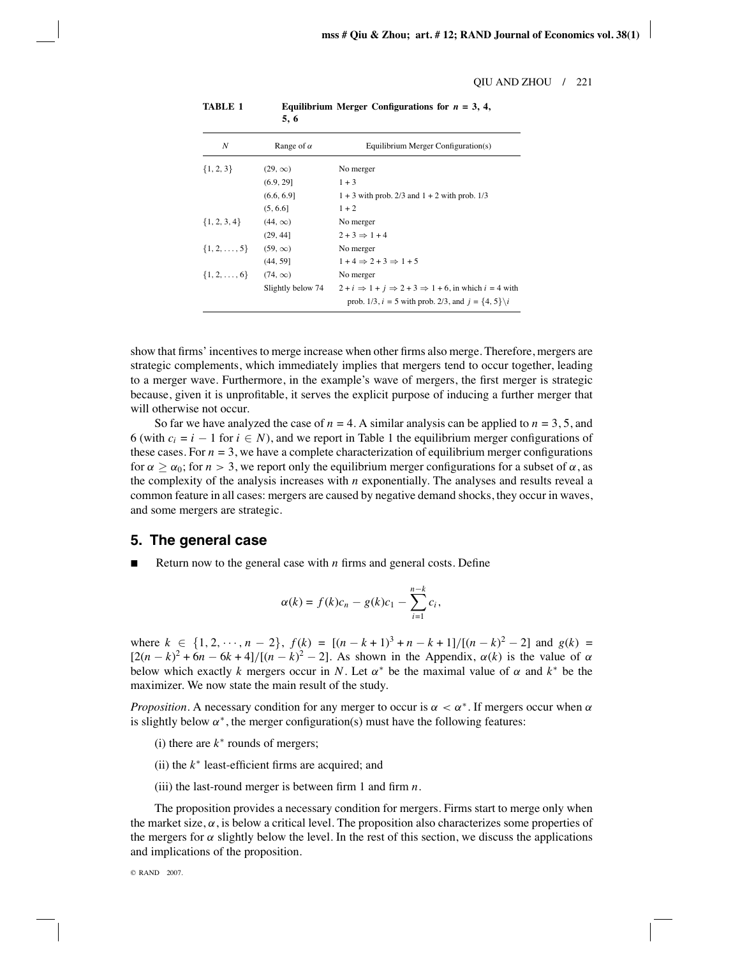| N                     | Range of $\alpha$ | Equilibrium Merger Configuration(s)                                                   |
|-----------------------|-------------------|---------------------------------------------------------------------------------------|
| $\{1, 2, 3\}$         | $(29, \infty)$    | No merger                                                                             |
|                       | (6.9, 29]         | $1 + 3$                                                                               |
|                       | (6.6, 6.9]        | $1 + 3$ with prob. 2/3 and $1 + 2$ with prob. 1/3                                     |
|                       | (5, 6.6]          | $1 + 2$                                                                               |
| $\{1, 2, 3, 4\}$      | $(44, \infty)$    | No merger                                                                             |
|                       | (29, 44]          | $2+3 \Rightarrow 1+4$                                                                 |
| $\{1, 2, \ldots, 5\}$ | $(59, \infty)$    | No merger                                                                             |
|                       | (44, 59]          | $1+4 \Rightarrow 2+3 \Rightarrow 1+5$                                                 |
| $\{1, 2, \ldots, 6\}$ | $(74, \infty)$    | No merger                                                                             |
|                       | Slightly below 74 | $2 + i \Rightarrow 1 + i \Rightarrow 2 + 3 \Rightarrow 1 + 6$ , in which $i = 4$ with |
|                       |                   | prob. 1/3, $i = 5$ with prob. 2/3, and $j = \{4, 5\} \setminus i$                     |

**TABLE 1 Equilibrium Merger Configurations for** *n* **= 3, 4, 5, 6**

show that firms' incentives to merge increase when other firms also merge. Therefore, mergers are strategic complements, which immediately implies that mergers tend to occur together, leading to a merger wave. Furthermore, in the example's wave of mergers, the first merger is strategic because, given it is unprofitable, it serves the explicit purpose of inducing a further merger that will otherwise not occur.

So far we have analyzed the case of  $n = 4$ . A similar analysis can be applied to  $n = 3, 5$ , and 6 (with  $c_i = i - 1$  for  $i \in N$ ), and we report in Table 1 the equilibrium merger configurations of these cases. For  $n = 3$ , we have a complete characterization of equilibrium merger configurations for  $\alpha \ge \alpha_0$ ; for  $n > 3$ , we report only the equilibrium merger configurations for a subset of  $\alpha$ , as the complexity of the analysis increases with *n* exponentially. The analyses and results reveal a common feature in all cases: mergers are caused by negative demand shocks, they occur in waves, and some mergers are strategic.

## **5. The general case**

Return now to the general case with *n* firms and general costs. Define

$$
\alpha(k) = f(k)c_n - g(k)c_1 - \sum_{i=1}^{n-k} c_i,
$$

where  $k \in \{1, 2, \dots, n-2\}, f(k) = [(n-k+1)^3 + n - k + 1]/[(n-k)^2 - 2]$  and  $g(k) =$  $[2(n-k)^2 + 6n - 6k + 4]/[(n-k)^2 - 2]$ . As shown in the Appendix,  $\alpha(k)$  is the value of  $\alpha$ below which exactly *k* mergers occur in *N*. Let  $\alpha^*$  be the maximal value of  $\alpha$  and  $k^*$  be the maximizer. We now state the main result of the study.

*Proposition*. A necessary condition for any merger to occur is  $\alpha < \alpha^*$ . If mergers occur when  $\alpha$ is slightly below  $\alpha^*$ , the merger configuration(s) must have the following features:

- (i) there are *k*<sup>∗</sup> rounds of mergers;
- (ii) the *k*<sup>∗</sup> least-efficient firms are acquired; and
- (iii) the last-round merger is between firm 1 and firm *n*.

The proposition provides a necessary condition for mergers. Firms start to merge only when the market size,  $\alpha$ , is below a critical level. The proposition also characterizes some properties of the mergers for  $\alpha$  slightly below the level. In the rest of this section, we discuss the applications and implications of the proposition.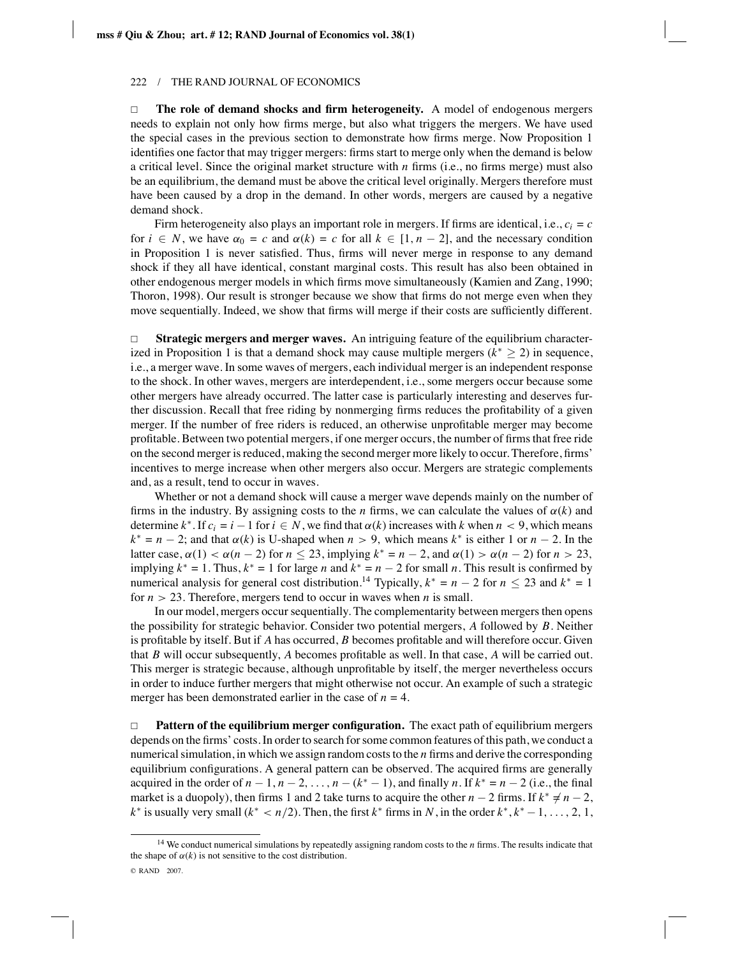$\Box$  **The role of demand shocks and firm heterogeneity.** A model of endogenous mergers needs to explain not only how firms merge, but also what triggers the mergers. We have used the special cases in the previous section to demonstrate how firms merge. Now Proposition 1 identifies one factor that may trigger mergers: firms start to merge only when the demand is below a critical level. Since the original market structure with *n* firms (i.e., no firms merge) must also be an equilibrium, the demand must be above the critical level originally. Mergers therefore must have been caused by a drop in the demand. In other words, mergers are caused by a negative demand shock.

Firm heterogeneity also plays an important role in mergers. If firms are identical, i.e.,  $c_i = c$ for  $i \in N$ , we have  $\alpha_0 = c$  and  $\alpha(k) = c$  for all  $k \in [1, n - 2]$ , and the necessary condition in Proposition 1 is never satisfied. Thus, firms will never merge in response to any demand shock if they all have identical, constant marginal costs. This result has also been obtained in other endogenous merger models in which firms move simultaneously (Kamien and Zang, 1990; Thoron, 1998). Our result is stronger because we show that firms do not merge even when they move sequentially. Indeed, we show that firms will merge if their costs are sufficiently different.

 $\Box$  **Strategic mergers and merger waves.** An intriguing feature of the equilibrium characterized in Proposition 1 is that a demand shock may cause multiple mergers  $(k^* \geq 2)$  in sequence, i.e., a merger wave. In some waves of mergers, each individual merger is an independent response to the shock. In other waves, mergers are interdependent, i.e., some mergers occur because some other mergers have already occurred. The latter case is particularly interesting and deserves further discussion. Recall that free riding by nonmerging firms reduces the profitability of a given merger. If the number of free riders is reduced, an otherwise unprofitable merger may become profitable. Between two potential mergers, if one merger occurs, the number of firms that free ride on the second merger is reduced, making the second merger more likely to occur. Therefore, firms' incentives to merge increase when other mergers also occur. Mergers are strategic complements and, as a result, tend to occur in waves.

Whether or not a demand shock will cause a merger wave depends mainly on the number of firms in the industry. By assigning costs to the *n* firms, we can calculate the values of  $\alpha(k)$  and determine  $k^*$ . If  $c_i = i - 1$  for  $i \in N$ , we find that  $\alpha(k)$  increases with k when  $n < 9$ , which means  $k^* = n - 2$ ; and that  $\alpha(k)$  is U-shaped when  $n > 9$ , which means  $k^*$  is either 1 or  $n - 2$ . In the latter case,  $\alpha(1) < \alpha(n-2)$  for  $n \le 23$ , implying  $k^* = n-2$ , and  $\alpha(1) > \alpha(n-2)$  for  $n > 23$ , implying  $k^* = 1$ . Thus,  $k^* = 1$  for large *n* and  $k^* = n - 2$  for small *n*. This result is confirmed by numerical analysis for general cost distribution.<sup>14</sup> Typically,  $k^* = n - 2$  for  $n \le 23$  and  $k^* = 1$ for  $n > 23$ . Therefore, mergers tend to occur in waves when *n* is small.

In our model, mergers occur sequentially. The complementarity between mergers then opens the possibility for strategic behavior. Consider two potential mergers, *A* followed by *B*. Neither is profitable by itself. But if *A* has occurred, *B* becomes profitable and will therefore occur. Given that *B* will occur subsequently, *A* becomes profitable as well. In that case, *A* will be carried out. This merger is strategic because, although unprofitable by itself, the merger nevertheless occurs in order to induce further mergers that might otherwise not occur. An example of such a strategic merger has been demonstrated earlier in the case of  $n = 4$ .

 $\Box$  **Pattern of the equilibrium merger configuration.** The exact path of equilibrium mergers depends on the firms' costs. In order to search for some common features of this path, we conduct a numerical simulation, in which we assign random costs to the *n* firms and derive the corresponding equilibrium configurations. A general pattern can be observed. The acquired firms are generally acquired in the order of  $n-1$ ,  $n-2$ ,...,  $n-(k^* - 1)$ , and finally *n*. If  $k^* = n-2$  (i.e., the final market is a duopoly), then firms 1 and 2 take turns to acquire the other  $n - 2$  firms. If  $k^* \neq n - 2$ , *k*<sup>∗</sup> is usually very small ( $k^* < n/2$ ). Then, the first  $k^*$  firms in *N*, in the order  $k^*, k^* - 1, \ldots, 2, 1$ ,

<sup>14</sup> We conduct numerical simulations by repeatedly assigning random costs to the *n* firms. The results indicate that the shape of  $\alpha(k)$  is not sensitive to the cost distribution. © RAND 2007.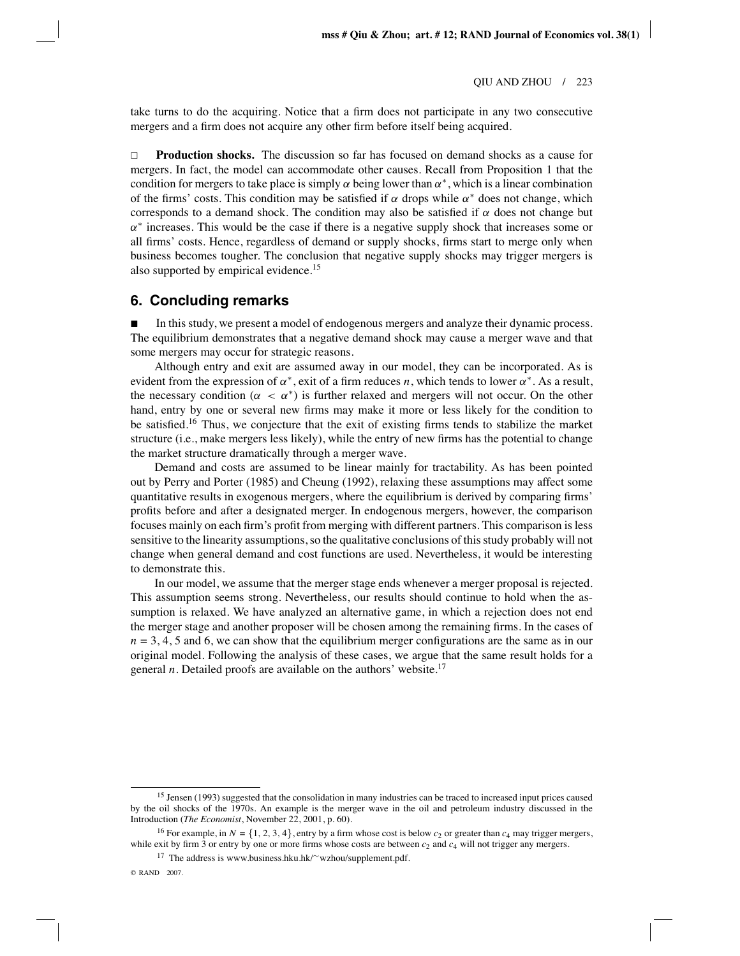take turns to do the acquiring. Notice that a firm does not participate in any two consecutive mergers and a firm does not acquire any other firm before itself being acquired.

 $\Box$  **Production shocks.** The discussion so far has focused on demand shocks as a cause for mergers. In fact, the model can accommodate other causes. Recall from Proposition 1 that the condition for mergers to take place is simply  $\alpha$  being lower than  $\alpha^*$ , which is a linear combination of the firms' costs. This condition may be satisfied if  $\alpha$  drops while  $\alpha^*$  does not change, which corresponds to a demand shock. The condition may also be satisfied if  $\alpha$  does not change but  $\alpha^*$  increases. This would be the case if there is a negative supply shock that increases some or all firms' costs. Hence, regardless of demand or supply shocks, firms start to merge only when business becomes tougher. The conclusion that negative supply shocks may trigger mergers is also supported by empirical evidence.<sup>15</sup>

#### **6. Concluding remarks**

 In this study, we present a model of endogenous mergers and analyze their dynamic process. The equilibrium demonstrates that a negative demand shock may cause a merger wave and that some mergers may occur for strategic reasons.

Although entry and exit are assumed away in our model, they can be incorporated. As is evident from the expression of  $\alpha^*$ , exit of a firm reduces *n*, which tends to lower  $\alpha^*$ . As a result, the necessary condition ( $\alpha < \alpha^*$ ) is further relaxed and mergers will not occur. On the other hand, entry by one or several new firms may make it more or less likely for the condition to be satisfied.<sup>16</sup> Thus, we conjecture that the exit of existing firms tends to stabilize the market structure (i.e., make mergers less likely), while the entry of new firms has the potential to change the market structure dramatically through a merger wave.

Demand and costs are assumed to be linear mainly for tractability. As has been pointed out by Perry and Porter (1985) and Cheung (1992), relaxing these assumptions may affect some quantitative results in exogenous mergers, where the equilibrium is derived by comparing firms' profits before and after a designated merger. In endogenous mergers, however, the comparison focuses mainly on each firm's profit from merging with different partners. This comparison is less sensitive to the linearity assumptions, so the qualitative conclusions of this study probably will not change when general demand and cost functions are used. Nevertheless, it would be interesting to demonstrate this.

In our model, we assume that the merger stage ends whenever a merger proposal is rejected. This assumption seems strong. Nevertheless, our results should continue to hold when the assumption is relaxed. We have analyzed an alternative game, in which a rejection does not end the merger stage and another proposer will be chosen among the remaining firms. In the cases of  $n = 3, 4, 5$  and 6, we can show that the equilibrium merger configurations are the same as in our original model. Following the analysis of these cases, we argue that the same result holds for a general *n*. Detailed proofs are available on the authors' website.<sup>17</sup>

<sup>&</sup>lt;sup>15</sup> Jensen (1993) suggested that the consolidation in many industries can be traced to increased input prices caused by the oil shocks of the 1970s. An example is the merger wave in the oil and petroleum industry discussed in the Introduction (*The Economist*, November 22, 2001, p. 60).

<sup>&</sup>lt;sup>16</sup> For example, in  $N = \{1, 2, 3, 4\}$ , entry by a firm whose cost is below  $c_2$  or greater than  $c_4$  may trigger mergers, while exit by firm  $\overline{3}$  or entry by one or more firms whose costs are between  $c_2$  and  $c_4$  will not trigger any mergers.

<sup>17</sup> The address is www.business.hku.hk/∼wzhou/supplement.pdf.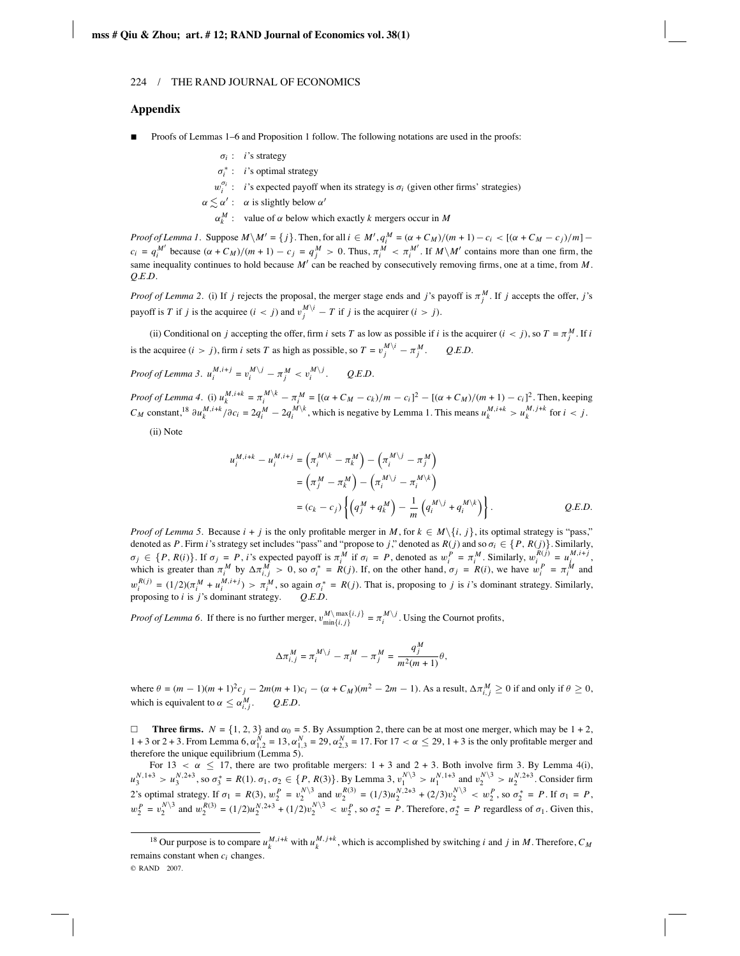#### **Appendix**

- Proofs of Lemmas 1–6 and Proposition 1 follow. The following notations are used in the proofs:
	- $\sigma_i$ : *i*'s strategy
	- σ∗ *<sup>i</sup>* : *i*'s optimal strategy
	- $w_i^{\sigma_i}$ : *i*'s expected payoff when its strategy is  $\sigma_i$  (given other firms' strategies)
	- $\alpha \leq \alpha'$ :  $\alpha$  is slightly below  $\alpha'$ 
		- $\alpha_k^M$  : value of  $\alpha$  below which exactly *k* mergers occur in *M*

*Proof of Lemma 1.* Suppose  $M \setminus M' = \{j\}$ . Then, for all  $i \in M', q_i^M = (\alpha + C_M)/(m + 1) - c_i < [(\alpha + C_M - c_j)/m]$  $c_i = q_i^{M'}$  because  $(\alpha + C_M)/(m + 1) - c_j = q_j^M > 0$ . Thus,  $\pi_i^M < \pi_i^{M'}$ . If  $M \setminus M'$  contains more than one firm, the same inequality continues to hold because  $M'$  can be reached by consecutively removing firms, one at a time, from M. *Q.E.D.*

*Proof of Lemma 2.* (i) If *j* rejects the proposal, the merger stage ends and *j*'s payoff is  $\pi_j^M$ . If *j* accepts the offer, *j*'s payoff is *T* if *j* is the acquiree  $(i < j)$  and  $v_j^{M\setminus i} - T$  if *j* is the acquirer  $(i > j)$ .

(ii) Conditional on *j* accepting the offer, firm *i* sets *T* as low as possible if *i* is the acquirer  $(i < j)$ , so  $T = \pi_j^M$ . If *i* is the acquiree  $(i > j)$ , firm *i* sets *T* as high as possible, so  $T = v_j^M \dot{ }^i - \pi_j^M$ . *Q.E.D.* 

*Proof of Lemma 3.*  $u_i^{M,i+j} = v_i^{M\setminus j} - \pi_j^M < v_i^{M\setminus j}$ *<sup>i</sup>* . *Q.E.D.*

*Proof of Lemma 4.* (i)  $u_k^{M,i+k} = \pi_i^{M \setminus k} - \pi_i^M = [(\alpha + C_M - c_k)/m - c_i]^2 - [(\alpha + C_M)/(m + 1) - c_i]^2$ . Then, keeping  $C_M$  constant,<sup>18</sup>  $\partial u_k^{M,i+k}/\partial c_i = 2q_i^M - 2q_i^{M/k}$ , which is negative by Lemma 1. This means  $u_k^{M,i+k} > u_k^{M,j+k}$  for  $i < j$ .

(ii) Note

$$
u_i^{M,i+k} - u_i^{M,i+j} = (\pi_i^{M \setminus k} - \pi_k^{M}) - (\pi_i^{M \setminus j} - \pi_j^{M})
$$
  
=  $(\pi_j^{M} - \pi_k^{M}) - (\pi_i^{M \setminus j} - \pi_i^{M \setminus k})$   
=  $(c_k - c_j) \left\{ (q_j^{M} + q_k^{M}) - \frac{1}{m} (q_i^{M \setminus j} + q_i^{M \setminus k}) \right\}.$  Q.E.D.

*Proof of Lemma 5*. Because  $i + j$  is the only profitable merger in *M*, for  $k \in M \setminus \{i, j\}$ , its optimal strategy is "pass," denoted as *P*. Firm *i*'s strategy set includes "pass" and "propose to *j*," denoted as  $R(j)$  and so  $\sigma_i \in \{P, R(j)\}$ . Similarly,  $\sigma_j \in \{P, R(i)\}\$ . If  $\sigma_j = P$ , *i*'s expected payoff is  $\pi_i^M$  if  $\sigma_i = P$ , denoted as  $w_i^P = \pi_i^M$ . Similarly,  $w_i^{R(j)} = u_i^{M,i+j}$ , which is greater than  $\pi_i^M$  by  $\Delta \pi_{i,j}^M > 0$ , so  $\sigma_i^* = R(j)$ . If, on the other hand,  $\sigma_j$  $w_i^{R(j)} = (1/2)(\pi_i^M + u_i^{M,i+j}) > \pi_i^M$ , so again  $\sigma_i^* = R(j)$ . That is, proposing to j is i's dominant strategy. Similarly, proposing to *i* is *j*'s dominant strategy. *Q.E.D.*

*Proof of Lemma 6*. If there is no further merger,  $v_{\text{min}\{i,j\}}^M = \pi_i^{M\setminus j}$ . Using the Cournot profits,

$$
\Delta \pi_{i,j}^M = \pi_i^{M \setminus j} - \pi_i^M - \pi_j^M = \frac{q_j^M}{m^2(m+1)} \theta,
$$

 $\text{where } θ = (m-1)(m+1)^2c_j - 2m(m+1)c_i - (α + C_M)(m^2 - 2m - 1).$  As a result, Δ $π^M_{i,j} ≥ 0$  if and only if  $θ ≥ 0$ , which is equivalent to  $\alpha \leq \alpha_{i,j}^M$ . Q.E.D.

 $\Box$  **Three firms.**  $N = \{1, 2, 3\}$  and  $\alpha_0 = 5$ . By Assumption 2, there can be at most one merger, which may be  $1 + 2$ , 1 + 3 or 2 + 3. From Lemma 6,  $α_{1,2}^N$  = 13,  $α_{1,3}^N$  = 29,  $α_{2,3}^N$  = 17. For 17 < α ≤ 29, 1 + 3 is the only profitable merger and therefore the unique equilibrium (Lemma 5).

For 13  $\lt \alpha \leq 17$ , there are two profitable mergers: 1 + 3 and 2 + 3. Both involve firm 3. By Lemma 4(i),  $u_3^{N,1+3} > u_3^{N,2+3}$ , so  $\sigma_3^* = R(1)$ .  $\sigma_1, \sigma_2 \in \{P, R(3)\}$ . By Lemma 3,  $v_1^{N\setminus 3} > u_1^{N,1+3}$  and  $v_2^{N\setminus 3} > u_2^{N,2+3}$ . Consider firm 2's optimal strategy. If  $\sigma_1 = R(3)$ ,  $w_2^P = v_2^{N\backslash 3}$  and  $w_2^{R(3)} = (1/3)u_2^{N\backslash 2+3} + (2/3)v_2^{N\backslash 3} < w_2^P$ , so  $\sigma_2^* = P$ . If  $\sigma_1 = P$ ,  $w_2^P = v_2^{N\setminus 3}$  and  $w_2^{R(3)} = (1/2)u_2^{N,2+3} + (1/2)v_2^{N\setminus 3} < w_2^P$ , so  $\sigma_2^* = P$ . Therefore,  $\sigma_2^* = P$  regardless of  $\sigma_1$ . Given this,

<sup>&</sup>lt;sup>18</sup> Our purpose is to compare  $u_k^{M,i+k}$  with  $u_k^{M,j+k}$ , which is accomplished by switching *i* and *j* in *M*. Therefore,  $C_M$ remains constant when *ci* changes. © RAND 2007.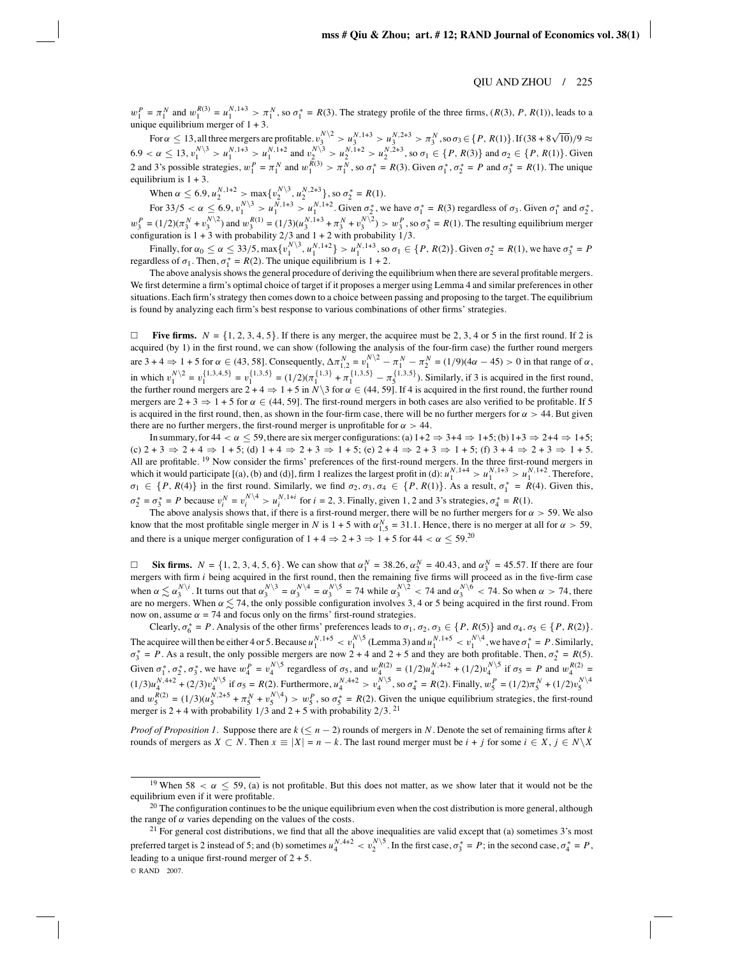$w_1^P = \pi_1^N$  and  $w_1^{R(3)} = u_1^{N,1+3} > \pi_1^N$ , so  $\sigma_1^* = R(3)$ . The strategy profile of the three firms,  $(R(3), P, R(1))$ , leads to a unique equilibrium merger of  $1 + 3$ .

For  $\alpha \le 13$ , all three mergers are profitable.  $v_3^{N \setminus 2} > u_3^{N,1+3} > u_3^{N,2+3} > \pi_3^N$ , so  $\sigma_3 \in \{P, R(1)\}$ . If  $(38 + 8\sqrt{10})/9 \approx$  $6.9 < \alpha \le 13$ ,  $v_1^{N\backslash 3} > u_1^{N,1+3} > u_1^{N,1+2}$  and  $v_2^{N\backslash 3} > u_2^{N,1+2} > u_2^{N,2+3}$ , so  $\sigma_1 \in \{P, R(3)\}$  and  $\sigma_2 \in \{P, R(1)\}$ . Given 2 and 3's possible strategies,  $w_1^P = \pi_1^N$  and  $w_1^{R(3)} > \pi_1^N$ , so  $\sigma_1^* = R(3)$ . Given  $\sigma_1^*, \sigma_2^* = P$  and  $\sigma_3^* = R(1)$ . The unique equilibrium is  $1 + 3$ .

When  $\alpha \leq 6.9, u_2^{N,1+2} > \max\{v_2^{N\setminus 3}, u_2^{N,2+3}\},$  so  $\sigma_2^* = R(1)$ .

For  $33/5 < \alpha \le 6.9$ ,  $v_1^{N\backslash 3} > u_1^{N,1+3} > u_1^{N,1+2}$ . Given  $\sigma_2^*$ , we have  $\sigma_1^* = R(3)$  regardless of  $\sigma_3$ . Given  $\sigma_1^*$  and  $\sigma_2^*$ ,  $w_3^P = (1/2)(\pi_3^N + v_3^{N/2})$  and  $w_3^{R(1)} = (1/3)(u_3^{N,1+3} + \pi_3^N + v_3^{N/2}) > w_3^P$ , so  $\sigma_3^* = R(1)$ . The resulting equilibrium merger configuration is 1 + 3 with probability 2/3 and 1 + 2 with probability 1/3.

Finally, for  $\alpha_0 \le \alpha \le 33/5$ ,  $\max\{v_1^{N\setminus 3}, u_1^{N,1+2}\} > u_1^{N,1+3}$ , so  $\sigma_1 \in \{P, R(2)\}$ . Given  $\sigma_2^* = R(1)$ , we have  $\sigma_3^* = P$ regardless of  $\sigma_1$ . Then,  $\sigma_1^* = R(2)$ . The unique equilibrium is 1 + 2.

The above analysis shows the general procedure of deriving the equilibrium when there are several profitable mergers. We first determine a firm's optimal choice of target if it proposes a merger using Lemma 4 and similar preferences in other situations. Each firm's strategy then comes down to a choice between passing and proposing to the target. The equilibrium is found by analyzing each firm's best response to various combinations of other firms' strategies.

 $\Box$ **Five firms.**  $N = \{1, 2, 3, 4, 5\}$ . If there is any merger, the acquiree must be 2, 3, 4 or 5 in the first round. If 2 is acquired (by 1) in the first round, we can show (following the analysis of the four-firm case) the further round mergers are  $3 + 4 \Rightarrow 1 + 5$  for  $\alpha \in (43, 58]$ . Consequently,  $\Delta \pi_{1,2}^N = v_1^{N\setminus 2} - \pi_1^N - \pi_2^N = (1/9)(4\alpha - 45) > 0$  in that range of  $\alpha$ , in which  $v_1^{N\setminus 2} = v_1^{\{1,3,4,5\}} = v_1^{\{1,3,5\}} = (1/2)(\pi_1^{\{1,3\}} + \pi_1^{\{1,3,5\}} - \pi_5^{\{1,3,5\}})$ . Similarly, if 3 is acquired in the first round, the further round mergers are  $2 + 4 \Rightarrow 1 + 5$  in *N*\3 for  $\alpha \in (44, 59]$ . If 4 is acquired in the first round, the further round mergers are  $2 + 3 \Rightarrow 1 + 5$  for  $\alpha \in (44, 59]$ . The first-round mergers in both cases are also verified to be profitable. If 5 is acquired in the first round, then, as shown in the four-firm case, there will be no further mergers for  $\alpha > 44$ . But given there are no further mergers, the first-round merger is unprofitable for  $\alpha > 44$ .

In summary, for  $44 < \alpha \le 59$ , there are six merger configurations: (a)  $1+2 \Rightarrow 3+4 \Rightarrow 1+5$ ; (b)  $1+3 \Rightarrow 2+4 \Rightarrow 1+5$ ;  $(c)$  2 + 3  $\Rightarrow$  2 + 4  $\Rightarrow$  1 + 5; (d) 1 + 4  $\Rightarrow$  2 + 3  $\Rightarrow$  1 + 5; (e) 2 + 4  $\Rightarrow$  2 + 3  $\Rightarrow$  1 + 5; (f) 3 + 4  $\Rightarrow$  2 + 3  $\Rightarrow$  1 + 5. All are profitable. <sup>19</sup> Now consider the firms' preferences of the first-round mergers. In the three first-round mergers in which it would participate [(a), (b) and (d)], firm 1 realizes the largest profit in (d):  $u_1^{N,1+4} > u_1^{N,1+3} > u_1^{N,1+2}$ . Therefore,  $\sigma_1 \in \{P, R(4)\}$  in the first round. Similarly, we find  $\sigma_2, \sigma_3, \sigma_4 \in \{P, R(1)\}$ . As a result,  $\sigma_1^* = R(4)$ . Given this,  $\sigma_2^* = \sigma_3^* = P$  because  $v_i^N = v_i^{N \setminus 4} > u_i^{N, 1+i}$  for  $i = 2, 3$ . Finally, given 1, 2 and 3's strategies,  $\sigma_4^* = R(1)$ .

The above analysis shows that, if there is a first-round merger, there will be no further mergers for  $\alpha > 59$ . We also know that the most profitable single merger in *N* is  $1 + 5$  with  $\alpha_{1,5}^N = 31.1$ . Hence, there is no merger at all for  $\alpha > 59$ , and there is a unique merger configuration of  $1 + 4 \Rightarrow 2 + 3 \Rightarrow 1 + 5$  for  $44 < \alpha \leq 59$ .<sup>20</sup>

□ **Six firms.**  $N = \{1, 2, 3, 4, 5, 6\}$ . We can show that  $\alpha_1^N = 38.26$ ,  $\alpha_2^N = 40.43$ , and  $\alpha_3^N = 45.57$ . If there are four mergers with firm *i* being acquired in the first round, then the remaining five firms wi when  $\alpha \lesssim \alpha_3^{N\setminus i}$ . It turns out that  $\alpha_3^{N\setminus 3} = \alpha_3^{N\setminus 4} = \alpha_3^{N\setminus 5} = 74$  while  $\alpha_3^{N\setminus 2} < 74$  and  $\alpha_3^{N\setminus 6} < 74$ . So when  $\alpha > 74$ , there are no mergers. When  $\alpha \lesssim 74$ , the only possible configuration involves 3, 4 or 5 being acquired in the first round. From now on, assume  $\alpha = 74$  and focus only on the firms' first-round strategies.

Clearly,  $\sigma_6^* = P$ . Analysis of the other firms' preferences leads to  $\sigma_1$ ,  $\sigma_2$ ,  $\sigma_3 \in \{P, R(5)\}$  and  $\sigma_4$ ,  $\sigma_5 \in \{P, R(2)\}$ . The acquiree will then be either 4 or 5. Because  $u_1^{N,1+5} < v_1^{N\setminus 5}$  (Lemma 3) and  $u_1^{N,1+5} < v_1^{N\setminus 4}$ , we have  $\sigma_1^* = P$ . Similarly,  $\sigma_3^* = P$ . As a result, the only possible mergers are now 2 + 4 and 2 + 5 a Given  $\sigma_1^*, \sigma_2^*, \sigma_3^*$ , we have  $w_4^P = v_4^{N \setminus 5}$  regardless of  $\sigma_5$ , and  $w_4^{R(2)} = (1/2)u_4^{N,4+2} + (1/2)v_4^{N \setminus 5}$  if  $\sigma_5 = P$  and  $w_4^{R(2)} =$  $(1/3)u_4^{N,4+2} + (2/3)v_4^{N\setminus 5}$  if  $\sigma_5 = R(2)$ . Furthermore,  $u_4^{N,4+2} > v_4^{N\setminus 5}$ , so  $\sigma_4^* = R(2)$ . Finally,  $w_5^P = (1/2)\pi_5^N + (1/2)v_5^{N\setminus 4}$ and  $w_5^{R(2)} = (1/3)(u_5^{N,2+5} + \pi_5^N + v_5^{N\setminus 4}) > w_5^P$ , so  $\sigma_5^* = R(2)$ . Given the unique equilibrium strategies, the first-round merger is  $2 + 4$  with probability  $1/3$  and  $2 + 5$  with probability  $2/3$ . <sup>21</sup>

*Proof of Proposition 1*. Suppose there are  $k \leq n - 2$ ) rounds of mergers in *N*. Denote the set of remaining firms after *k* rounds of mergers as  $X \subset N$ . Then  $x \equiv |X| = n - k$ . The last round merger must be  $i + j$  for some  $i \in X, j \in N \setminus X$ 

<sup>21</sup> For general cost distributions, we find that all the above inequalities are valid except that (a) sometimes  $3$ 's most preferred target is 2 instead of 5; and (b) sometimes  $u_4^{N,4+2} < v_2^{N\setminus 5}$ . In the first case,  $\sigma_3^* = P$ ; in the second case,  $\sigma_4^* = P$ , leading to a unique first-round merger of  $2 + 5$ . © RAND 2007.

<sup>&</sup>lt;sup>19</sup> When 58  $\lt \alpha \leq 59$ , (a) is not profitable. But this does not matter, as we show later that it would not be the equilibrium even if it were profitable.

<sup>&</sup>lt;sup>20</sup> The configuration continues to be the unique equilibrium even when the cost distribution is more general, although the range of  $\alpha$  varies depending on the values of the costs.